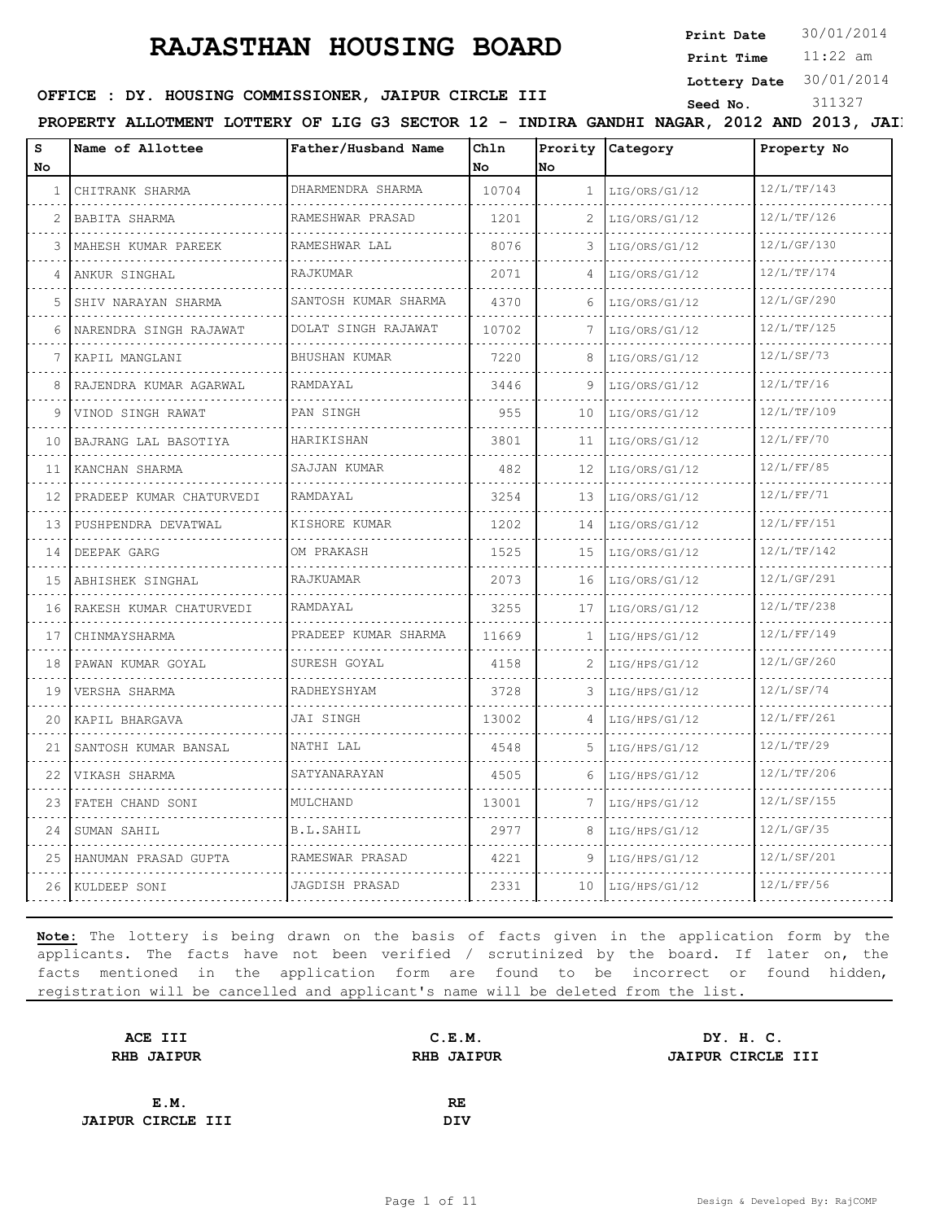**Print Date**  $30/01/2014$ 

11:22 am **Print Time Lottery Date** 30/01/2014

#### **OFFICE : DY. HOUSING COMMISSIONER, JAIPUR CIRCLE III**

| s<br>No.                      | Name of Allottee          | Father/Husband Name   | Chln<br>No. | No | Prority Category       | Property No |
|-------------------------------|---------------------------|-----------------------|-------------|----|------------------------|-------------|
| 1                             | CHITRANK SHARMA           | DHARMENDRA SHARMA     | 10704       |    | $1 \mid LIG/ORS/G1/12$ | 12/L/TF/143 |
| 2                             | BABITA SHARMA             | .<br>RAMESHWAR PRASAD | 1201        | 2  | LIG/ORS/G1/12          | 12/L/TF/126 |
| 3                             | MAHESH KUMAR PAREEK       | RAMESHWAR LAL         | 8076        | 3  | LIG/ORS/G1/12          | 12/L/GF/130 |
| 4                             | ANKUR SINGHAL             | RAJKUMAR              | 2071        |    | LIG/ORS/G1/12          | 12/L/TF/174 |
| 5                             | .<br>SHIV NARAYAN SHARMA  | SANTOSH KUMAR SHARMA  | 4370        | 6  | LIG/ORS/G1/12          | 12/L/GF/290 |
| 6                             | NARENDRA SINGH RAJAWAT    | DOLAT SINGH RAJAWAT   | 10702       |    | LIG/ORS/G1/12          | 12/L/TF/125 |
| 7                             | KAPIL MANGLANI            | .<br>BHUSHAN KUMAR    | 7220        | 8  | LIG/ORS/G1/12          | 12/L/SF/73  |
| 8                             | RAJENDRA KUMAR AGARWAL    | RAMDAYAL              | 3446        | 9  | LIG/ORS/G1/12          | 12/L/TF/16  |
| 9                             | VINOD SINGH RAWAT         | PAN SINGH             | 955         | 10 | LIG/ORS/G1/12          | 12/L/TF/109 |
| 10                            | .<br>BAJRANG LAL BASOTIYA | HARIKISHAN            | 3801        | 11 | LIG/ORS/G1/12          | 12/L/FF/70  |
| $\sim$ $\sim$ $\sim$<br>11    | KANCHAN SHARMA            | SAJJAN KUMAR          | 482         | 12 | LIG/ORS/G1/12          | 12/L/FF/85  |
| 12                            | PRADEEP KUMAR CHATURVEDI  | RAMDAYAL              | 3254        | 13 | LIG/ORS/G1/12          | 12/L/FF/71  |
| $\sim 100$ km s $^{-1}$<br>13 | PUSHPENDRA DEVATWAL       | KISHORE KUMAR         | 1202        | 14 | LIG/ORS/G1/12          | 12/L/FF/151 |
|                               | 14 DEEPAK GARG            | OM PRAKASH            | 1525        |    | $15$  LIG/ORS/G1/12    | 12/L/TF/142 |
| 15                            | ABHISHEK SINGHAL          | RAJKUAMAR             | 2073        | 16 | LIG/ORS/G1/12          | 12/L/GF/291 |
| المتعامل<br>16                | RAKESH KUMAR CHATURVEDI   | RAMDAYAL              | 3255        | 17 | LIG/ORS/G1/12          | 12/L/TF/238 |
| 17                            | CHINMAYSHARMA             | PRADEEP KUMAR SHARMA  | 11669       | 1  | LIG/HPS/G1/12          | 12/L/FF/149 |
| $\sim$ $\sim$<br>18           | PAWAN KUMAR GOYAL         | SURESH GOYAL          | 4158        | 2  | LIG/HPS/G1/12          | 12/L/GF/260 |
| 19                            | VERSHA SHARMA             | RADHEYSHYAM           | 3728        | 3  | LIG/HPS/G1/12          | 12/L/SF/74  |
| 20                            | KAPIL BHARGAVA            | JAI SINGH             | 13002       | 4  | LIG/HPS/G1/12          | 12/L/FF/261 |
| 21                            | SANTOSH KUMAR BANSAL      | NATHI LAL             | 4548        |    | LIG/HPS/G1/12          | 12/L/TF/29  |
| 22                            | VIKASH SHARMA             | SATYANARAYAN          | 4505        | 6  | LIG/HPS/G1/12          | 12/L/TF/206 |
| 23                            | FATEH CHAND SONI          | MULCHAND              | 13001       | 7  | LIG/HPS/G1/12          | 12/L/SF/155 |
|                               | 24 SUMAN SAHIL            | B.L.SAHIL             | 2977        | 8  | LIG/HPS/G1/12          | 12/L/GF/35  |

**Note:** The lottery is being drawn on the basis of facts given in the application form by the applicants. The facts have not been verified / scrutinized by the board. If later on, the facts mentioned in the application form are found to be incorrect or found hidden, registration will be cancelled and applicant's name will be deleted from the list.

25 HANUMAN PRASAD GUPTA RAMESWAR PRASAD 4221 9 LIG/HPS/G1/12 12/L/SF/201

26 KULDEEP SONI JAGDISH PRASAD 2331 10 LIG/HPS/G1/12 12/L/FF/56

| ACE III                  | C.E.M.            | DY. H. C.         |
|--------------------------|-------------------|-------------------|
| <b>RHB JAIPUR</b>        | <b>RHB JAIPUR</b> | JAIPUR CIRCLE III |
|                          |                   |                   |
| E.M.                     | RE                |                   |
| <b>JAIPUR CIRCLE III</b> | DIV               |                   |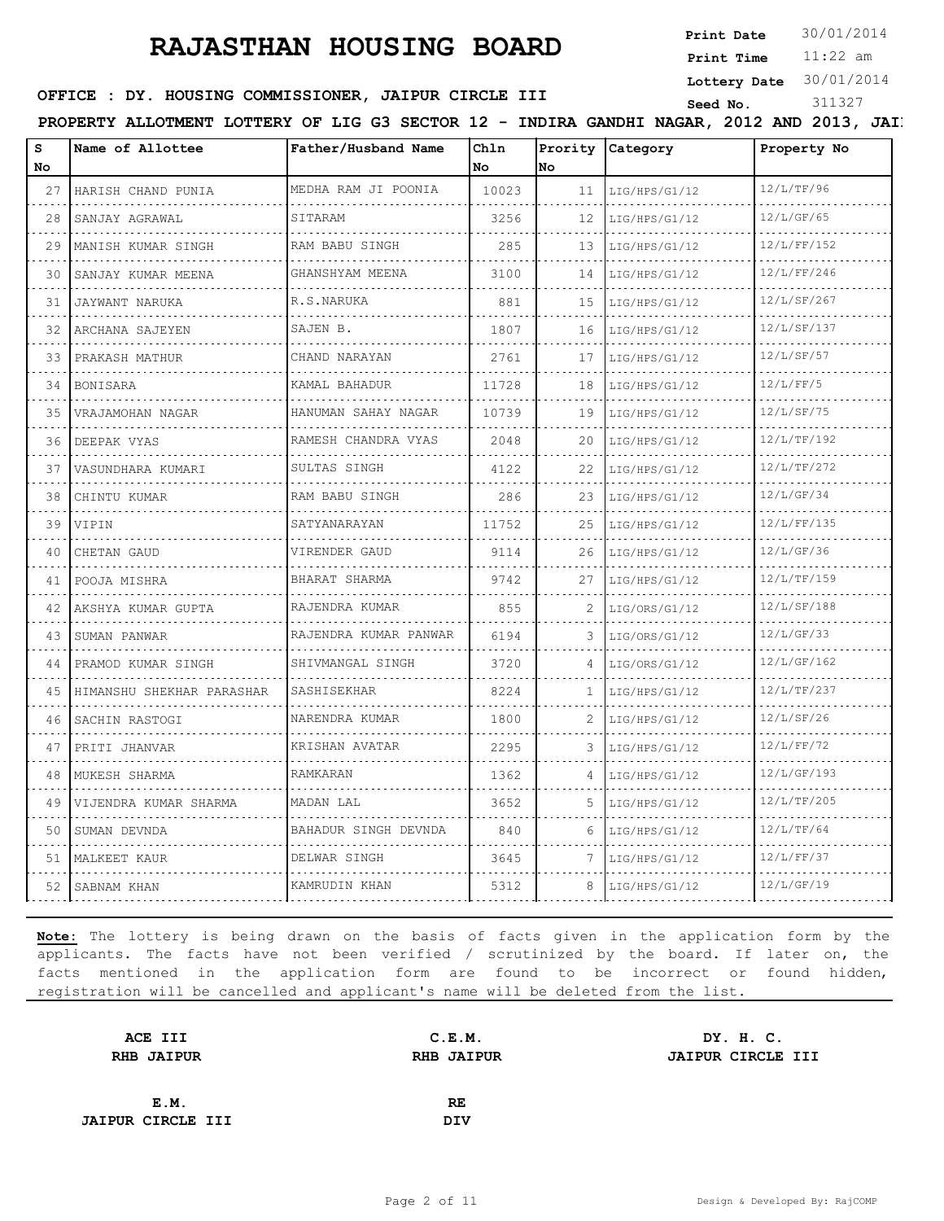**Print Date**  $30/01/2014$ 

11:22 am **Print Time Lottery Date** 30/01/2014

### **SEED OFFICE : DY. HOUSING COMMISSIONER, JAIPUR CIRCLE III** Seed No. 311327

PROPERTY ALLOTMENT LOTTERY OF LIG G3 SECTOR 12 - INDIRA GANDHI NAGAR, 2012 AND 2013, JAIP

| s<br>No | Name of Allottee          | Father/Husband Name        | Chln<br>No | Prority<br>No | Category           | Property No |
|---------|---------------------------|----------------------------|------------|---------------|--------------------|-------------|
| 27      | HARISH CHAND PUNIA        | MEDHA RAM JI POONIA        | 10023      | 11            | LIG/HPS/G1/12      | 12/L/TF/96  |
| 28      | SANJAY AGRAWAL            | SITARAM                    | 3256       | 12            | .<br>LIG/HPS/G1/12 | 12/L/GF/65  |
| 29      | MANISH KUMAR SINGH        | RAM BABU SINGH             | 285        | 13            | LIG/HPS/G1/12      | 12/L/FF/152 |
| 30      | SANJAY KUMAR MEENA        | GHANSHYAM MEENA<br>.       | 3100       | 14            | LIG/HPS/G1/12      | 12/L/FF/246 |
| 31      | JAYWANT NARUKA            | R.S.NARUKA                 | 881        | 15            | LIG/HPS/G1/12      | 12/L/SF/267 |
| 32      | ARCHANA SAJEYEN           | SAJEN B.                   | 1807       | 16            | LIG/HPS/G1/12      | 12/L/SF/137 |
| 33      | PRAKASH MATHUR            | CHAND NARAYAN              | 2761       | 17            | LIG/HPS/G1/12      | 12/L/SF/57  |
| 34      | <b>BONISARA</b>           | .<br>KAMAL BAHADUR         | 11728      | 18            | LIG/HPS/G1/12      | 12/L/FF/5   |
| 35      | VRAJAMOHAN NAGAR          | HANUMAN SAHAY NAGAR<br>.   | 10739      | 19            | LIG/HPS/G1/12      | 12/L/SF/75  |
| 36      | DEEPAK VYAS               | RAMESH CHANDRA VYAS<br>.   | 2048       | 20            | LIG/HPS/G1/12      | 12/L/TF/192 |
| 37      | VASUNDHARA KUMARI         | SULTAS SINGH               | 4122       | 22            | LIG/HPS/G1/12      | 12/L/TF/272 |
| 38      | CHINTU KUMAR              | RAM BABU SINGH             | 286        | 23            | LIG/HPS/G1/12      | 12/L/GF/34  |
| 39      | VIPIN                     | SATYANARAYAN               | 11752      | 25            | LIG/HPS/G1/12      | 12/L/FF/135 |
| 40      | CHETAN GAUD               | VIRENDER GAUD              | 9114       | 26            | LIG/HPS/G1/12      | 12/L/GF/36  |
| 41      | POOJA MISHRA              | BHARAT SHARMA<br>.         | 9742       | 27            | LIG/HPS/G1/12      | 12/L/TF/159 |
| 42      | AKSHYA KUMAR GUPTA        | RAJENDRA KUMAR             | 855        | 2             | LIG/ORS/G1/12      | 12/L/SF/188 |
| 43      | SUMAN PANWAR              | RAJENDRA KUMAR PANWAR<br>. | 6194       | 3             | LIG/ORS/G1/12      | 12/L/GF/33  |
| 44      | PRAMOD KUMAR SINGH        | SHIVMANGAL SINGH<br>.      | 3720       | 4             | LIG/ORS/G1/12      | 12/L/GF/162 |
| 45      | HIMANSHU SHEKHAR PARASHAR | SASHISEKHAR                | 8224       | $\mathbf{1}$  | LIG/HPS/G1/12      | 12/L/TF/237 |
| 46      | SACHIN RASTOGI            | NARENDRA KUMAR             | 1800       | 2             | LIG/HPS/G1/12      | 12/L/SF/26  |
| 47      | PRITI JHANVAR             | KRISHAN AVATAR             | 2295       |               | LIG/HPS/G1/12      | 12/L/FF/72  |
| 48      | MUKESH SHARMA             | <b>RAMKARAN</b>            | 1362       | 4             | LIG/HPS/G1/12      | 12/L/GF/193 |
| 49      | VIJENDRA KUMAR SHARMA     | MADAN LAL                  | 3652       | 5             | LIG/HPS/G1/12      | 12/L/TF/205 |
| 50      | SUMAN DEVNDA              | BAHADUR SINGH DEVNDA       | 840        | 6             | LIG/HPS/G1/12      | 12/L/TF/64  |
| 51      | MALKEET KAUR              | DELWAR SINGH               | 3645       | 7             | LIG/HPS/G1/12      | 12/L/FF/37  |
| 52      | SABNAM KHAN               | KAMRUDIN KHAN              | 5312       | 8             | LIG/HPS/G1/12      | 12/L/GF/19  |

| C.E.M.            | DY. H. C.         |
|-------------------|-------------------|
| <b>RHB JAIPUR</b> | JAIPUR CIRCLE III |
|                   |                   |
| RE                |                   |
| DIV               |                   |
|                   |                   |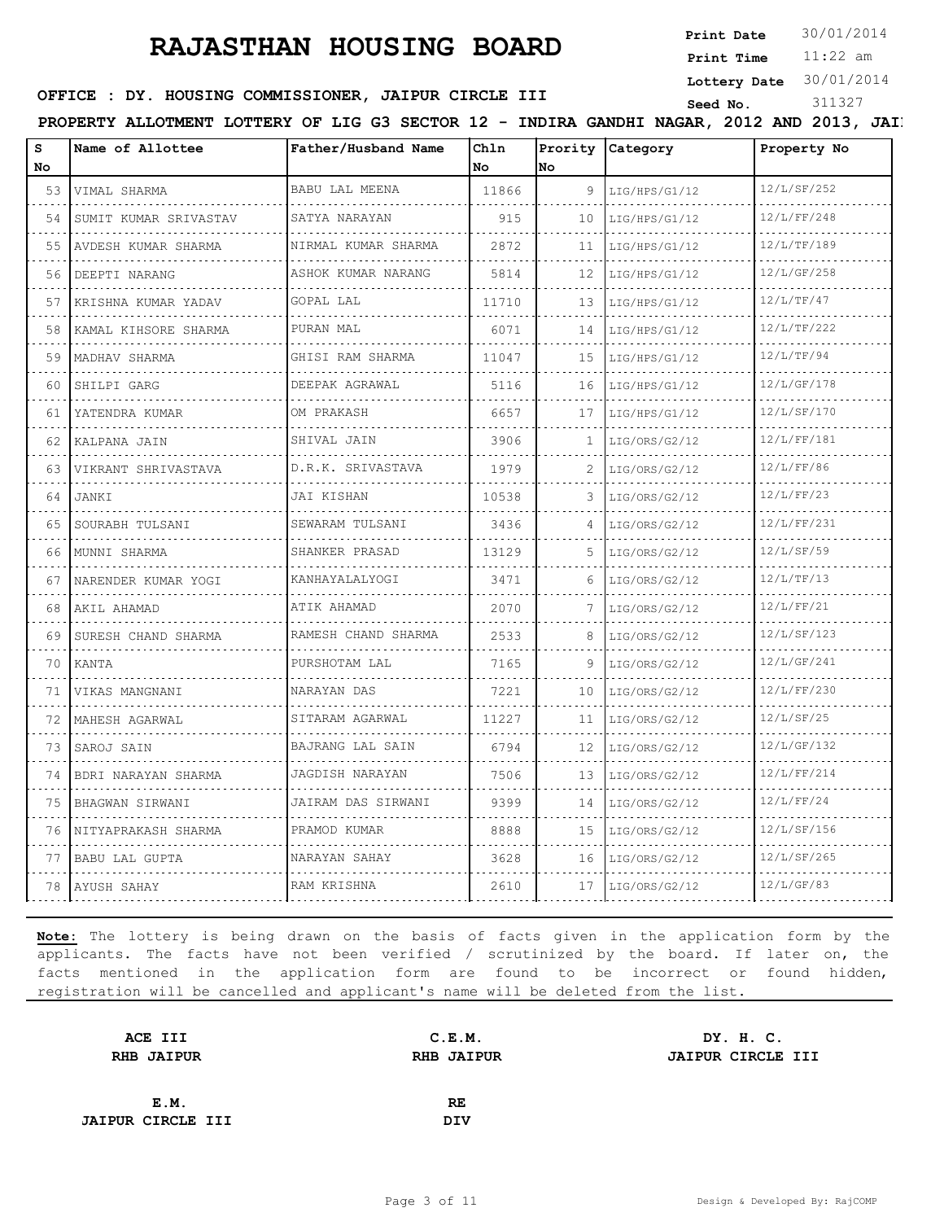**Print Date**  $30/01/2014$ 

11:22 am **Print Time Lottery Date** 30/01/2014

### **SEED OFFICE : DY. HOUSING COMMISSIONER, JAIPUR CIRCLE III** Seed No. 311327

PROPERTY ALLOTMENT LOTTERY OF LIG G3 SECTOR 12 - INDIRA GANDHI NAGAR, 2012 AND 2013, JAIP

| S<br>No | Name of Allottee           | Father/Husband Name   | Chln<br>No | Prority<br>No | Category           | Property No |
|---------|----------------------------|-----------------------|------------|---------------|--------------------|-------------|
| 53      | VIMAL SHARMA               | BABU LAL MEENA        | 11866      | 9             | LIG/HPS/G1/12      | 12/L/SF/252 |
| .<br>54 | .<br>SUMIT KUMAR SRIVASTAV | .<br>SATYA NARAYAN    | 915        | 10            | .<br>LIG/HPS/G1/12 | 12/L/FF/248 |
| 55      | AVDESH KUMAR SHARMA        | NIRMAL KUMAR SHARMA   | 2872       | 11            | LIG/HPS/G1/12      | 12/L/TF/189 |
| 56      | DEEPTI NARANG              | ASHOK KUMAR NARANG    | 5814       | 12            | LIG/HPS/G1/12      | 12/L/GF/258 |
| 57      | .<br>KRISHNA KUMAR YADAV   | GOPAL LAL             | 11710      | 13            | LIG/HPS/G1/12      | 12/L/TF/47  |
| 58      | KAMAL KIHSORE SHARMA       | PURAN MAL             | 6071       | 14            | LIG/HPS/G1/12      | 12/L/TF/222 |
| 59      | MADHAV SHARMA              | GHISI RAM SHARMA<br>. | 11047      | 1.5           | LIG/HPS/G1/12      | 12/L/TF/94  |
| 60      | SHILPI GARG                | DEEPAK AGRAWAL        | 5116       | 16            | LIG/HPS/G1/12      | 12/L/GF/178 |
| 61      | YATENDRA KUMAR             | OM PRAKASH            | 6657       | 17            | LIG/HPS/G1/12      | 12/L/SF/170 |
| 62      | KALPANA JAIN               | SHIVAL JAIN           | 3906       | $\mathbf{1}$  | LIG/ORS/G2/12      | 12/L/FF/181 |
| 63      | VIKRANT SHRIVASTAVA        | D.R.K. SRIVASTAVA     | 1979       | 2             | LIG/ORS/G2/12      | 12/L/FF/86  |
| 64      | JANKI                      | JAI KISHAN            | 10538      | 3             | LIG/ORS/G2/12      | 12/L/FF/23  |
| 65      | SOURABH TULSANI            | SEWARAM TULSANI       | 3436       |               | LIG/ORS/G2/12      | 12/L/FF/231 |
| 66      | MUNNI SHARMA               | SHANKER PRASAD        | 13129      | 5             | LIG/ORS/G2/12      | 12/L/SF/59  |
| 67      | NARENDER KUMAR YOGI        | KANHAYALALYOGI        | 3471       | 6             | LIG/ORS/G2/12      | 12/L/TF/13  |
| 68      | AKIL AHAMAD                | ATIK AHAMAD           | 2070       | 7             | LIG/ORS/G2/12      | 12/L/FF/21  |
| 69      | SURESH CHAND SHARMA        | RAMESH CHAND SHARMA   | 2533       | 8             | LIG/ORS/G2/12      | 12/L/SF/123 |
| 70      | KANTA                      | PURSHOTAM LAL         | 7165       | 9             | LIG/ORS/G2/12      | 12/L/GF/241 |
| 71      | VIKAS MANGNANI             | NARAYAN DAS           | 7221       | 10            | LIG/ORS/G2/12      | 12/L/FF/230 |
| 72      | MAHESH AGARWAL             | SITARAM AGARWAL       | 11227      | 11            | LIG/ORS/G2/12      | 12/L/SF/25  |
| 73      | SAROJ SAIN                 | BAJRANG LAL SAIN      | 6794       | 12            | LIG/ORS/G2/12      | 12/L/GF/132 |
| 74      | BDRI NARAYAN SHARMA        | JAGDISH NARAYAN       | 7506       | 13            | LIG/ORS/G2/12      | 12/L/FF/214 |
| 75      | BHAGWAN SIRWANI            | JAIRAM DAS SIRWANI    | 9399       | 14            | LIG/ORS/G2/12      | 12/L/FF/24  |
| 76      | NITYAPRAKASH SHARMA        | PRAMOD KUMAR          | 8888       | 15            | LIG/ORS/G2/12      | 12/L/SF/156 |
| 77      | <b>BABU LAL GUPTA</b>      | NARAYAN SAHAY         | 3628       | 16            | LIG/ORS/G2/12      | 12/L/SF/265 |
| 78      | AYUSH SAHAY                | RAM KRISHNA           | 2610       | 17            | LIG/ORS/G2/12      | 12/L/GF/83  |

| C.E.M.            | DY. H. C.         |
|-------------------|-------------------|
| <b>RHB JAIPUR</b> | JAIPUR CIRCLE III |
|                   |                   |
| RE                |                   |
| DIV               |                   |
|                   |                   |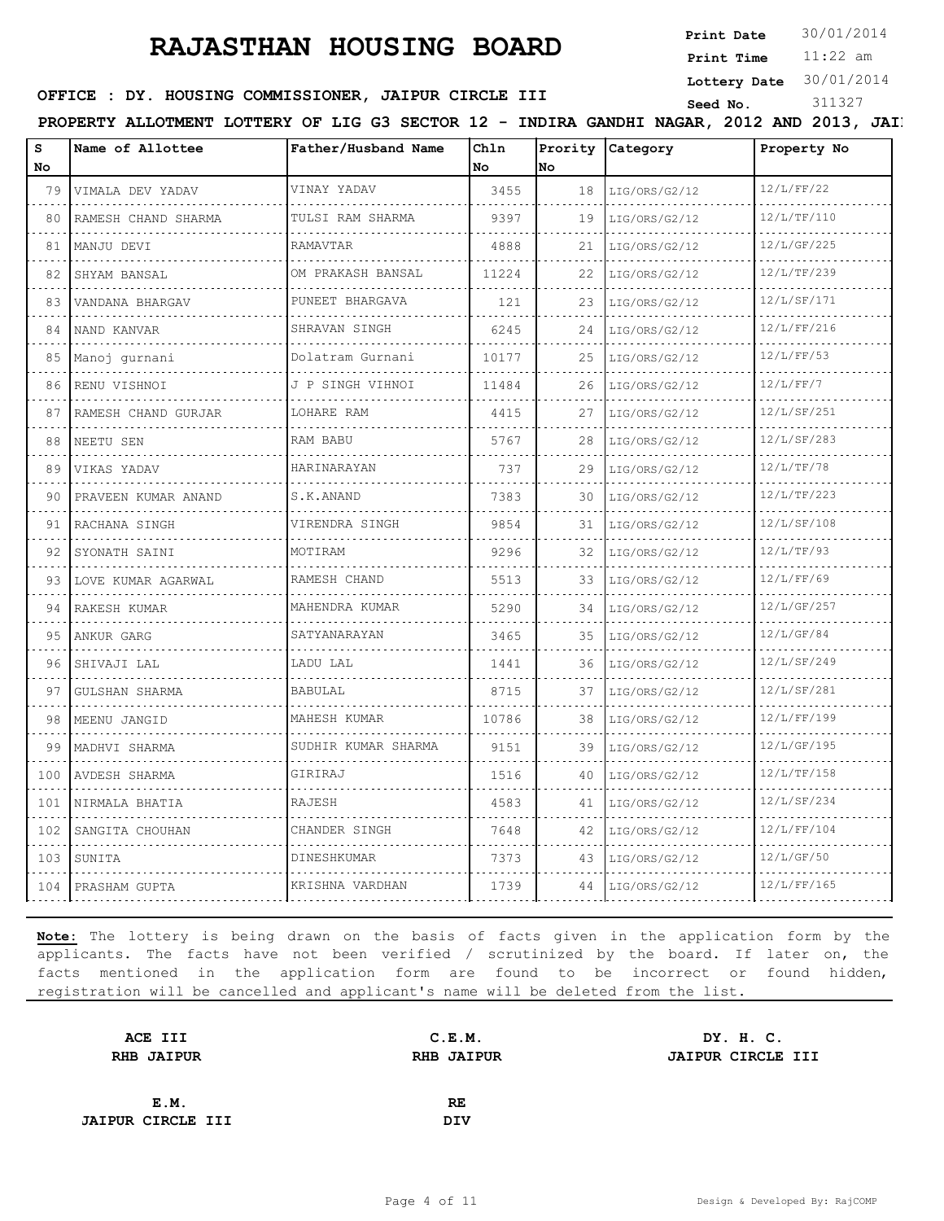**Print Date**  $30/01/2014$ 

11:22 am **Print Time**

#### **Lottery Date** 30/01/2014

#### **SEED OFFICE : DY. HOUSING COMMISSIONER, JAIPUR CIRCLE III**

| S<br>No | Name of Allottee    | Father/Husband Name | Chln<br>No. | No. | Prority Category   | Property No |
|---------|---------------------|---------------------|-------------|-----|--------------------|-------------|
| 79      | VIMALA DEV YADAV    | VINAY YADAV         | 3455        |     | $18$ LIG/ORS/G2/12 | 12/L/FF/22  |
| 80      | RAMESH CHAND SHARMA | TULSI RAM SHARMA    | 9397        | 19  | LIG/ORS/G2/12      | 12/L/TF/110 |
| 81      | MANJU DEVI          | RAMAVTAR            | 4888        | 21  | LIG/ORS/G2/12      | 12/L/GF/225 |
| 82      | SHYAM BANSAL        | OM PRAKASH BANSAL   | 11224       | 22  | LIG/ORS/G2/12      | 12/L/TF/239 |
| 83      | VANDANA BHARGAV     | PUNEET BHARGAVA     | 121         | 23  | LIG/ORS/G2/12      | 12/L/SF/171 |
| 84      | NAND KANVAR         | SHRAVAN SINGH       | 6245        | 24  | LIG/ORS/G2/12      | 12/L/FF/216 |
| 85      | Manoj gurnani       | Dolatram Gurnani    | 10177       | 25  | LIG/ORS/G2/12      | 12/L/FF/53  |
| 86      | RENU VISHNOI        | J P SINGH VIHNOI    | 11484       | 26  | LIG/ORS/G2/12      | 12/L/FF/7   |
|         | RAMESH CHAND GURJAR | LOHARE RAM          | 4415        | 27  | LIG/ORS/G2/12      | 12/L/SF/251 |
| 88      | NEETU SEN           | RAM BABU            | 5767        | 28  | LIG/ORS/G2/12      | 12/L/SF/283 |
| 89      | VIKAS YADAV         | HARINARAYAN         | 737         | 29  | LIG/ORS/G2/12      | 12/L/TF/78  |
| 90      | PRAVEEN KUMAR ANAND | S.K.ANAND           | 7383        | 30  | LIG/ORS/G2/12      | 12/L/TF/223 |
| 91      | RACHANA SINGH       | VIRENDRA SINGH      | 9854        | 31  | LIG/ORS/G2/12      | 12/L/SF/108 |
| 92      | SYONATH SAINI       | MOTIRAM             | 9296        | 32  | LIG/ORS/G2/12      | 12/L/TF/93  |
| 93      | LOVE KUMAR AGARWAL  | RAMESH CHAND        | 5513        |     | 33 LIG/ORS/G2/12   | 12/L/FF/69  |
| 94      | RAKESH KUMAR        | MAHENDRA KUMAR      | 5290        | 34  | LIG/ORS/G2/12      | 12/L/GF/257 |
| 95      | ANKUR GARG          | SATYANARAYAN        | 3465        | 35  | LIG/ORS/G2/12      | 12/L/GF/84  |
| 96      | SHIVAJI LAL         | LADU LAL            | 1441        | 36  | LIG/ORS/G2/12      | 12/L/SF/249 |
| 97      | GULSHAN SHARMA      | BABULAL             | 8715        | 37  | LIG/ORS/G2/12      | 12/L/SF/281 |
| 98      | MEENU JANGID        | MAHESH KUMAR        | 10786       | 38  | LIG/ORS/G2/12      | 12/L/FF/199 |
| 99      | MADHVI SHARMA       | SUDHIR KUMAR SHARMA | 9151        | 39  | LIG/ORS/G2/12      | 12/L/GF/195 |
|         | 100   AVDESH SHARMA | GIRIRAJ             | 1516        |     | $40$ LIG/ORS/G2/12 | 12/L/TF/158 |
| 101     | NIRMALA BHATIA      | RAJESH              | 4583        | 41  | LIG/ORS/G2/12      | 12/L/SF/234 |
| 102     | SANGITA CHOUHAN     | CHANDER SINGH       | 7648        | 42  | LIG/ORS/G2/12      | 12/L/FF/104 |
| 103     | SUNITA              | DINESHKUMAR         | 7373        | 43  | LIG/ORS/G2/12      | 12/L/GF/50  |
| 104     | PRASHAM GUPTA       | KRISHNA VARDHAN     | 1739        | 44  | LIG/ORS/G2/12      | 12/L/FF/165 |

| ACE III                  | C.E.M.            | DY. H. C.         |
|--------------------------|-------------------|-------------------|
| <b>RHB JAIPUR</b>        | <b>RHB JAIPUR</b> | JAIPUR CIRCLE III |
|                          |                   |                   |
| E.M.                     | RE                |                   |
| <b>JAIPUR CIRCLE III</b> | DIV               |                   |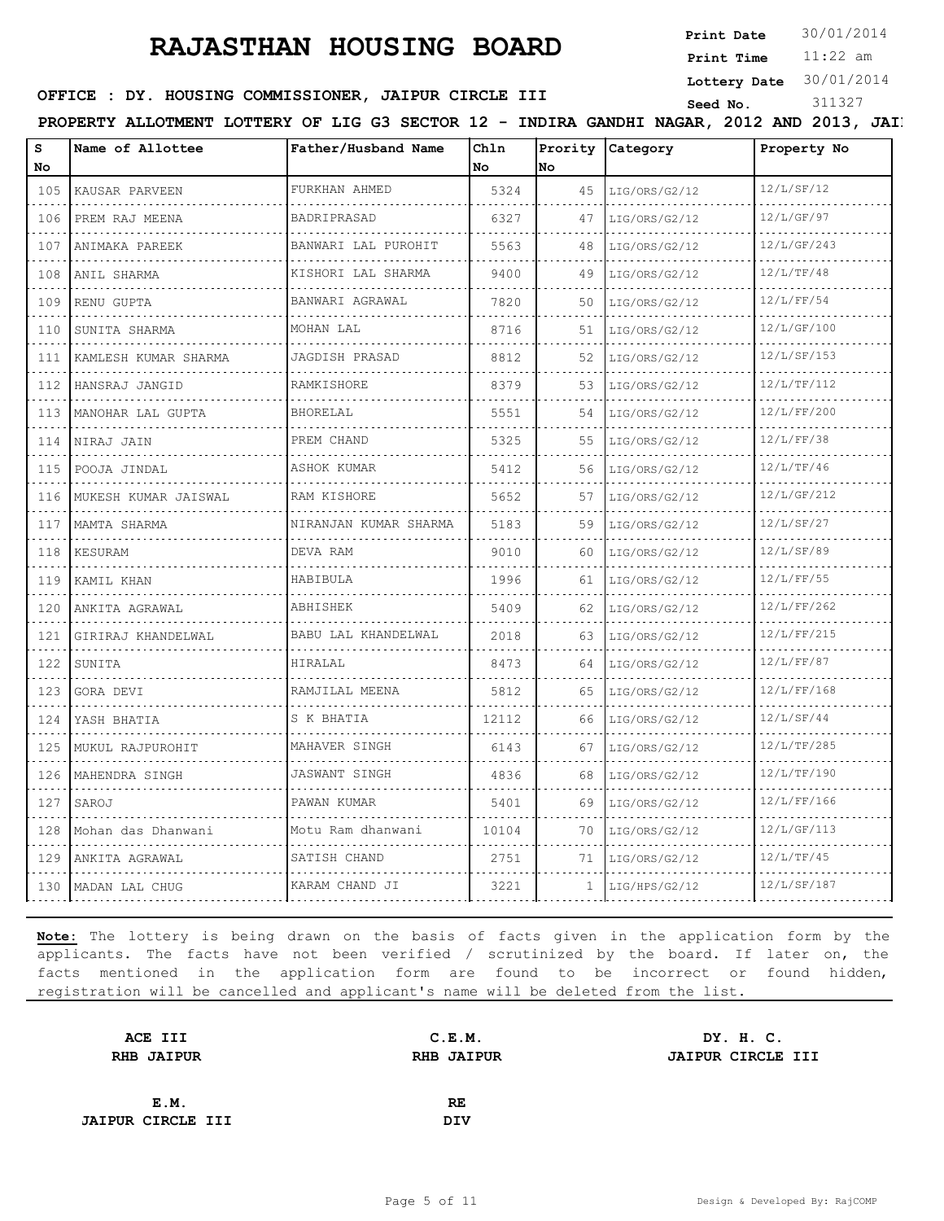# **RAJASTHAN HOUSING BOARD** Print Date 30/01/2014

**Print Date**

11:22 am **Print Time**

| s                                                            | Name of Allottee     | Father/Husband Name     | Chln  |                 | Prority Category    | Property No |
|--------------------------------------------------------------|----------------------|-------------------------|-------|-----------------|---------------------|-------------|
| No.                                                          |                      |                         | No.   | lno.            |                     |             |
| 105                                                          | KAUSAR PARVEEN       | FURKHAN AHMED<br>.      | 5324  |                 | $45$ LIG/ORS/G2/12  | 12/L/SF/12  |
| 106                                                          | PREM RAJ MEENA       | BADRIPRASAD             | 6327  | 47              | LIG/ORS/G2/12       | 12/L/GF/97  |
| $\sim 100$ km s $^{-1}$<br>107                               | ANIMAKA PAREEK       | BANWARI LAL PUROHIT     | 5563  | 48              | LIG/ORS/G2/12       | 12/L/GF/243 |
| 108                                                          | ANIL SHARMA          | KISHORI LAL SHARMA<br>. | 9400  | 49              | LIG/ORS/G2/12       | 12/L/TF/48  |
| $- - - -$<br>109                                             | RENU GUPTA           | BANWARI AGRAWAL         | 7820  | 50              | LIG/ORS/G2/12       | 12/L/FF/54  |
| $\sim$ $\sim$ $\sim$ $\sim$ $\sim$<br>110                    | SUNITA SHARMA        | MOHAN LAL               | 8716  |                 | $51$  LIG/ORS/G2/12 | 12/L/GF/100 |
| .<br>111                                                     | KAMLESH KUMAR SHARMA | JAGDISH PRASAD          | 8812  |                 | $52$ LIG/ORS/G2/12  | 12/L/SF/153 |
| .<br>112                                                     | HANSRAJ JANGID       | RAMKISHORE              | 8379  | $53 \;$         | LIG/ORS/G2/12       | 12/L/TF/112 |
| 113                                                          | MANOHAR LAL GUPTA    | BHORELAL                | 5551  |                 | 54   LIG/ORS/G2/12  | 12/L/FF/200 |
| 1.1111<br>114                                                | NIRAJ JAIN           | PREM CHAND              | 5325  | 55              | LIG/ORS/G2/12       | 12/L/FF/38  |
| $\sim$ $\sim$ $\sim$ $\sim$ $\sim$                           | 115   POOJA JINDAL   | ASHOK KUMAR             | 5412  |                 | 56 LIG/ORS/G2/12    | 12/L/TF/46  |
| .<br>116<br>$\sim$ $\sim$ $\sim$ $\sim$                      | MUKESH KUMAR JAISWAL | RAM KISHORE             | 5652  | 57              | LIG/ORS/G2/12       | 12/L/GF/212 |
| 117                                                          | MAMTA SHARMA         | NIRANJAN KUMAR SHARMA   | 5183  | 59 <sub>1</sub> | LIG/ORS/G2/12       | 12/L/SF/27  |
| 118<br>$\omega_{\rm{c}} = \omega_{\rm{c}} = \omega_{\rm{c}}$ | KESURAM              | DEVA RAM                | 9010  | 60.             | LIG/ORS/G2/12       | 12/L/SF/89  |
| 119                                                          | KAMIL KHAN           | HABIBULA                | 1996  |                 | $61$  LIG/ORS/G2/12 | 12/L/FF/55  |
| $\sim$ $\sim$ $\sim$ $\sim$<br>120<br>.                      | ANKITA AGRAWAL       | ABHISHEK                | 5409  |                 | 62 $LiG/ORS/G2/12$  | 12/L/FF/262 |
| 121<br>$\sim$ $\sim$ $\sim$ $\sim$                           | GIRIRAJ KHANDELWAL   | BABU LAL KHANDELWAL     | 2018  | 63              | LIG/ORS/G2/12       | 12/L/FF/215 |
| 122                                                          | SUNITA               | HIRALAL                 | 8473  | 64.             | LIG/ORS/G2/12       | 12/L/FF/87  |
| 123                                                          | GORA DEVI            | RAMJILAL MEENA          | 5812  | 65              | LIG/ORS/G2/12       | 12/L/FF/168 |
| $- - - -$<br>124<br>$   -$                                   | YASH BHATIA          | S K BHATIA              | 12112 | 66              | LIG/ORS/G2/12       | 12/L/SF/44  |
| 125<br>.                                                     | MUKUL RAJPUROHIT     | MAHAVER SINGH           | 6143  |                 | 67 LIG/ORS/G2/12    | 12/L/TF/285 |
| 126                                                          | MAHENDRA SINGH       | JASWANT SINGH           | 4836  | 68              | LIG/ORS/G2/12       | 12/L/TF/190 |
| 127                                                          | SAROJ                | PAWAN KUMAR             | 5401  |                 | 69 LIG/ORS/G2/12    | 12/L/FF/166 |
| .                                                            |                      |                         |       |                 | .                   |             |

**Note:** The lottery is being drawn on the basis of facts given in the application form by the applicants. The facts have not been verified / scrutinized by the board. If later on, the facts mentioned in the application form are found to be incorrect or found hidden, registration will be cancelled and applicant's name will be deleted from the list.

 $\alpha$  is a second set of  $\alpha$ . . . . . .

128 Mohan das Dhanwani Motu Ram dhanwani 10104 70 LIG/ORS/G2/12 12/L/GF/113 129 ANKITA AGRAWAL SATISH CHAND 2751 71 LIG/ORS/G2/12 12/L/TF/45 130 MADAN LAL CHUG KARAM CHAND JI 3221 1 LIG/HPS/G2/12 12/L/SF/187

| ACE III                  | C.E.M.            | DY. H. C.         |
|--------------------------|-------------------|-------------------|
| <b>RHB JAIPUR</b>        | <b>RHB JAIPUR</b> | JAIPUR CIRCLE III |
|                          |                   |                   |
| E.M.                     | RE                |                   |
| <b>JAIPUR CIRCLE III</b> | <b>DIV</b>        |                   |
|                          |                   |                   |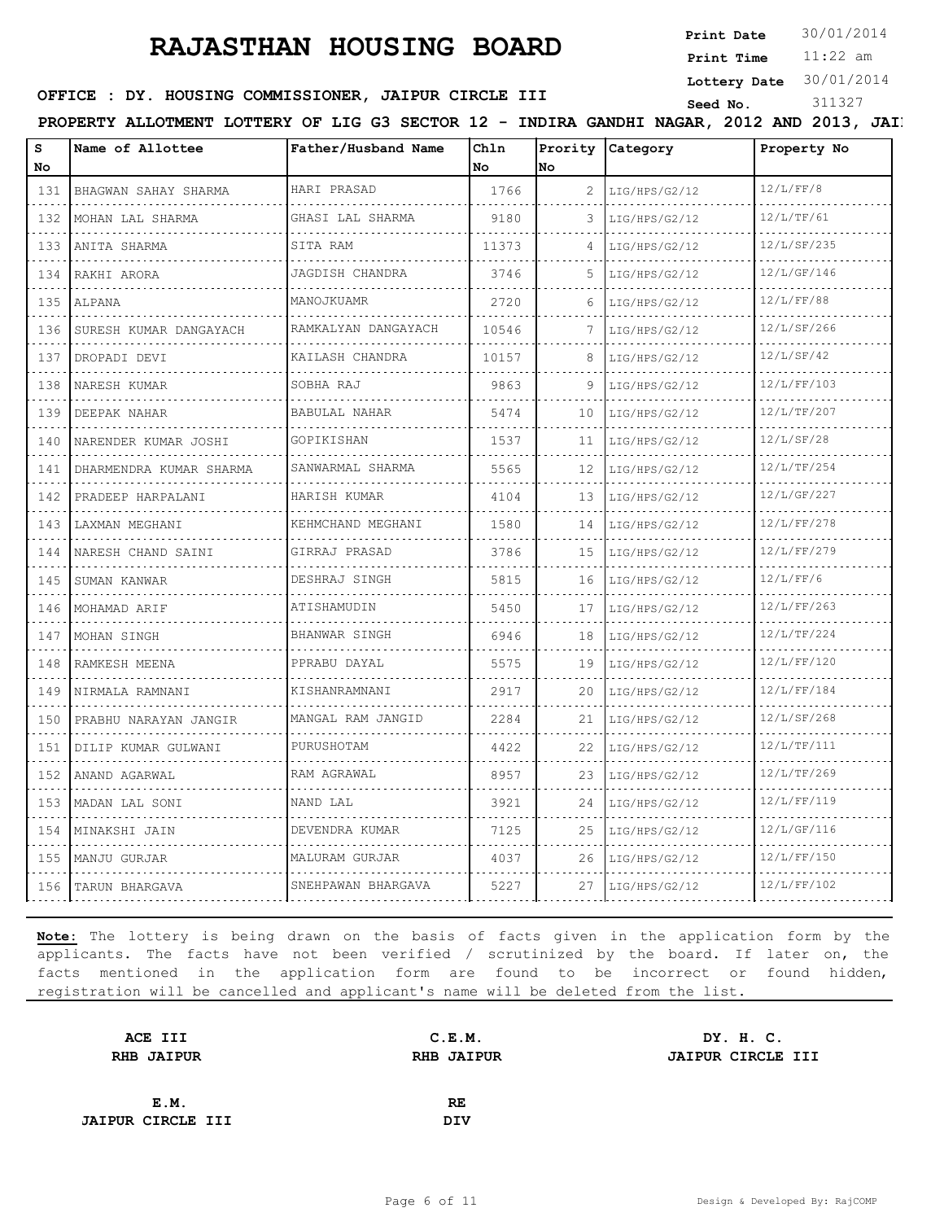**Print Date**  $30/01/2014$ 

11:22 am **Print Time Lottery Date** 30/01/2014

### **SEED OFFICE : DY. HOUSING COMMISSIONER, JAIPUR CIRCLE III** Seed No. 311327

PROPERTY ALLOTMENT LOTTERY OF LIG G3 SECTOR 12 - INDIRA GANDHI NAGAR, 2012 AND 2013, JAIP

| 12/L/FF/8<br>HARI PRASAD<br>1766<br>BHAGWAN SAHAY SHARMA<br>2<br>131<br>LIG/HPS/G2/12<br>.<br>.<br>.<br>12/L/TF/61<br>GHASI LAL SHARMA<br>132<br>MOHAN LAL SHARMA<br>9180<br>LIG/HPS/G2/12<br>3<br>12/L/SF/235<br>SITA RAM<br>133<br>ANITA SHARMA<br>11373<br>LIG/HPS/G2/12<br>4<br>.<br>JAGDISH CHANDRA<br>12/L/GF/146<br>3746<br>5<br>134<br>RAKHI ARORA<br>LIG/HPS/G2/12<br>12/L/FF/88<br>MANOJKUAMR<br>2720<br>135<br>LIG/HPS/G2/12<br>ALPANA<br>6<br>.<br>12/L/SF/266<br>RAMKALYAN DANGAYACH<br>136<br>SURESH KUMAR DANGAYACH<br>10546<br>7<br>LIG/HPS/G2/12<br>.<br>والماليان<br>12/L/SF/42<br>KAILASH CHANDRA<br>137<br>DROPADI DEVI<br>10157<br>8<br>LIG/HPS/G2/12<br>12/L/FF/103<br>SOBHA RAJ<br>9863<br>138<br>NARESH KUMAR<br>9<br>LIG/HPS/G2/12<br>.<br>12/L/TF/207<br>BABULAL NAHAR<br>139<br>DEEPAK NAHAR<br>5474<br>10<br>LIG/HPS/G2/12<br>.<br>12/L/SF/28<br>GOPIKISHAN<br>140<br>NARENDER KUMAR JOSHI<br>1537<br>11<br>LIG/HPS/G2/12<br>12/L/TF/254<br>SANWARMAL SHARMA<br>5565<br>12<br>LIG/HPS/G2/12<br>141<br>DHARMENDRA KUMAR SHARMA<br>12/L/GF/227<br>HARISH KUMAR<br>13<br>4104<br>142<br>PRADEEP HARPALANI<br>LIG/HPS/G2/12<br>.<br>.<br>.<br>12/L/FF/278<br>KEHMCHAND MEGHANI<br>143<br>1580<br>LAXMAN MEGHANI<br>14<br>LIG/HPS/G2/12<br>12/L/FF/279<br>GIRRAJ PRASAD<br>3786<br>NARESH CHAND SAINI<br>15<br>144<br>LIG/HPS/G2/12<br>.<br>12/L/FF/6<br>DESHRAJ SINGH<br>145<br>SUMAN KANWAR<br>5815<br>16<br>LIG/HPS/G2/12<br>. |  |
|----------------------------------------------------------------------------------------------------------------------------------------------------------------------------------------------------------------------------------------------------------------------------------------------------------------------------------------------------------------------------------------------------------------------------------------------------------------------------------------------------------------------------------------------------------------------------------------------------------------------------------------------------------------------------------------------------------------------------------------------------------------------------------------------------------------------------------------------------------------------------------------------------------------------------------------------------------------------------------------------------------------------------------------------------------------------------------------------------------------------------------------------------------------------------------------------------------------------------------------------------------------------------------------------------------------------------------------------------------------------------------------------------------------------------------------------------------|--|
|                                                                                                                                                                                                                                                                                                                                                                                                                                                                                                                                                                                                                                                                                                                                                                                                                                                                                                                                                                                                                                                                                                                                                                                                                                                                                                                                                                                                                                                          |  |
|                                                                                                                                                                                                                                                                                                                                                                                                                                                                                                                                                                                                                                                                                                                                                                                                                                                                                                                                                                                                                                                                                                                                                                                                                                                                                                                                                                                                                                                          |  |
|                                                                                                                                                                                                                                                                                                                                                                                                                                                                                                                                                                                                                                                                                                                                                                                                                                                                                                                                                                                                                                                                                                                                                                                                                                                                                                                                                                                                                                                          |  |
|                                                                                                                                                                                                                                                                                                                                                                                                                                                                                                                                                                                                                                                                                                                                                                                                                                                                                                                                                                                                                                                                                                                                                                                                                                                                                                                                                                                                                                                          |  |
|                                                                                                                                                                                                                                                                                                                                                                                                                                                                                                                                                                                                                                                                                                                                                                                                                                                                                                                                                                                                                                                                                                                                                                                                                                                                                                                                                                                                                                                          |  |
|                                                                                                                                                                                                                                                                                                                                                                                                                                                                                                                                                                                                                                                                                                                                                                                                                                                                                                                                                                                                                                                                                                                                                                                                                                                                                                                                                                                                                                                          |  |
|                                                                                                                                                                                                                                                                                                                                                                                                                                                                                                                                                                                                                                                                                                                                                                                                                                                                                                                                                                                                                                                                                                                                                                                                                                                                                                                                                                                                                                                          |  |
|                                                                                                                                                                                                                                                                                                                                                                                                                                                                                                                                                                                                                                                                                                                                                                                                                                                                                                                                                                                                                                                                                                                                                                                                                                                                                                                                                                                                                                                          |  |
|                                                                                                                                                                                                                                                                                                                                                                                                                                                                                                                                                                                                                                                                                                                                                                                                                                                                                                                                                                                                                                                                                                                                                                                                                                                                                                                                                                                                                                                          |  |
|                                                                                                                                                                                                                                                                                                                                                                                                                                                                                                                                                                                                                                                                                                                                                                                                                                                                                                                                                                                                                                                                                                                                                                                                                                                                                                                                                                                                                                                          |  |
|                                                                                                                                                                                                                                                                                                                                                                                                                                                                                                                                                                                                                                                                                                                                                                                                                                                                                                                                                                                                                                                                                                                                                                                                                                                                                                                                                                                                                                                          |  |
|                                                                                                                                                                                                                                                                                                                                                                                                                                                                                                                                                                                                                                                                                                                                                                                                                                                                                                                                                                                                                                                                                                                                                                                                                                                                                                                                                                                                                                                          |  |
|                                                                                                                                                                                                                                                                                                                                                                                                                                                                                                                                                                                                                                                                                                                                                                                                                                                                                                                                                                                                                                                                                                                                                                                                                                                                                                                                                                                                                                                          |  |
|                                                                                                                                                                                                                                                                                                                                                                                                                                                                                                                                                                                                                                                                                                                                                                                                                                                                                                                                                                                                                                                                                                                                                                                                                                                                                                                                                                                                                                                          |  |
|                                                                                                                                                                                                                                                                                                                                                                                                                                                                                                                                                                                                                                                                                                                                                                                                                                                                                                                                                                                                                                                                                                                                                                                                                                                                                                                                                                                                                                                          |  |
| 12/L/FF/263<br>ATISHAMUDIN<br>5450<br>146<br>MOHAMAD ARIF<br>17<br>LIG/HPS/G2/12                                                                                                                                                                                                                                                                                                                                                                                                                                                                                                                                                                                                                                                                                                                                                                                                                                                                                                                                                                                                                                                                                                                                                                                                                                                                                                                                                                         |  |
| 12/L/TF/224<br>BHANWAR SINGH<br>6946<br>147<br>MOHAN SINGH<br>18<br>LIG/HPS/G2/12                                                                                                                                                                                                                                                                                                                                                                                                                                                                                                                                                                                                                                                                                                                                                                                                                                                                                                                                                                                                                                                                                                                                                                                                                                                                                                                                                                        |  |
| .<br>PPRABU DAYAL<br>12/L/FF/120<br>RAMKESH MEENA<br>5575<br>148<br>19<br>LIG/HPS/G2/12                                                                                                                                                                                                                                                                                                                                                                                                                                                                                                                                                                                                                                                                                                                                                                                                                                                                                                                                                                                                                                                                                                                                                                                                                                                                                                                                                                  |  |
| 12/L/FF/184<br>KISHANRAMNANI<br>2917<br>20<br>LIG/HPS/G2/12<br>149<br>NIRMALA RAMNANI<br>.                                                                                                                                                                                                                                                                                                                                                                                                                                                                                                                                                                                                                                                                                                                                                                                                                                                                                                                                                                                                                                                                                                                                                                                                                                                                                                                                                               |  |
| 12/L/SF/268<br>MANGAL RAM JANGID<br>2284<br>21<br>PRABHU NARAYAN JANGIR<br>LIG/HPS/G2/12<br>150                                                                                                                                                                                                                                                                                                                                                                                                                                                                                                                                                                                                                                                                                                                                                                                                                                                                                                                                                                                                                                                                                                                                                                                                                                                                                                                                                          |  |
| .<br>12/L/TF/111<br>PURUSHOTAM<br>4422<br>151<br>DILIP KUMAR GULWANI<br>22<br>LIG/HPS/G2/12                                                                                                                                                                                                                                                                                                                                                                                                                                                                                                                                                                                                                                                                                                                                                                                                                                                                                                                                                                                                                                                                                                                                                                                                                                                                                                                                                              |  |
| .<br>12/L/TF/269<br>RAM AGRAWAL<br>8957<br>152<br>ANAND AGARWAL<br>23<br>LIG/HPS/G2/12                                                                                                                                                                                                                                                                                                                                                                                                                                                                                                                                                                                                                                                                                                                                                                                                                                                                                                                                                                                                                                                                                                                                                                                                                                                                                                                                                                   |  |
| 12/L/FF/119<br>NAND LAL<br>3921<br>153<br>MADAN LAL SONI<br>24<br>LIG/HPS/G2/12                                                                                                                                                                                                                                                                                                                                                                                                                                                                                                                                                                                                                                                                                                                                                                                                                                                                                                                                                                                                                                                                                                                                                                                                                                                                                                                                                                          |  |
| 12/L/GF/116<br>DEVENDRA KUMAR<br>154<br>MINAKSHI JAIN<br>7125<br>25<br>LIG/HPS/G2/12                                                                                                                                                                                                                                                                                                                                                                                                                                                                                                                                                                                                                                                                                                                                                                                                                                                                                                                                                                                                                                                                                                                                                                                                                                                                                                                                                                     |  |
| .<br>MALURAM GURJAR<br>12/L/FF/150<br>155<br>MANJU GURJAR<br>4037<br>26<br>LIG/HPS/G2/12                                                                                                                                                                                                                                                                                                                                                                                                                                                                                                                                                                                                                                                                                                                                                                                                                                                                                                                                                                                                                                                                                                                                                                                                                                                                                                                                                                 |  |
| 12/L/FF/102<br>SNEHPAWAN BHARGAVA<br>5227<br>156<br>TARUN BHARGAVA<br>27<br>LIG/HPS/G2/12                                                                                                                                                                                                                                                                                                                                                                                                                                                                                                                                                                                                                                                                                                                                                                                                                                                                                                                                                                                                                                                                                                                                                                                                                                                                                                                                                                |  |

| C.E.M.            | DY. H. C.         |
|-------------------|-------------------|
| <b>RHB JAIPUR</b> | JAIPUR CIRCLE III |
|                   |                   |
| RE                |                   |
| DIV               |                   |
|                   |                   |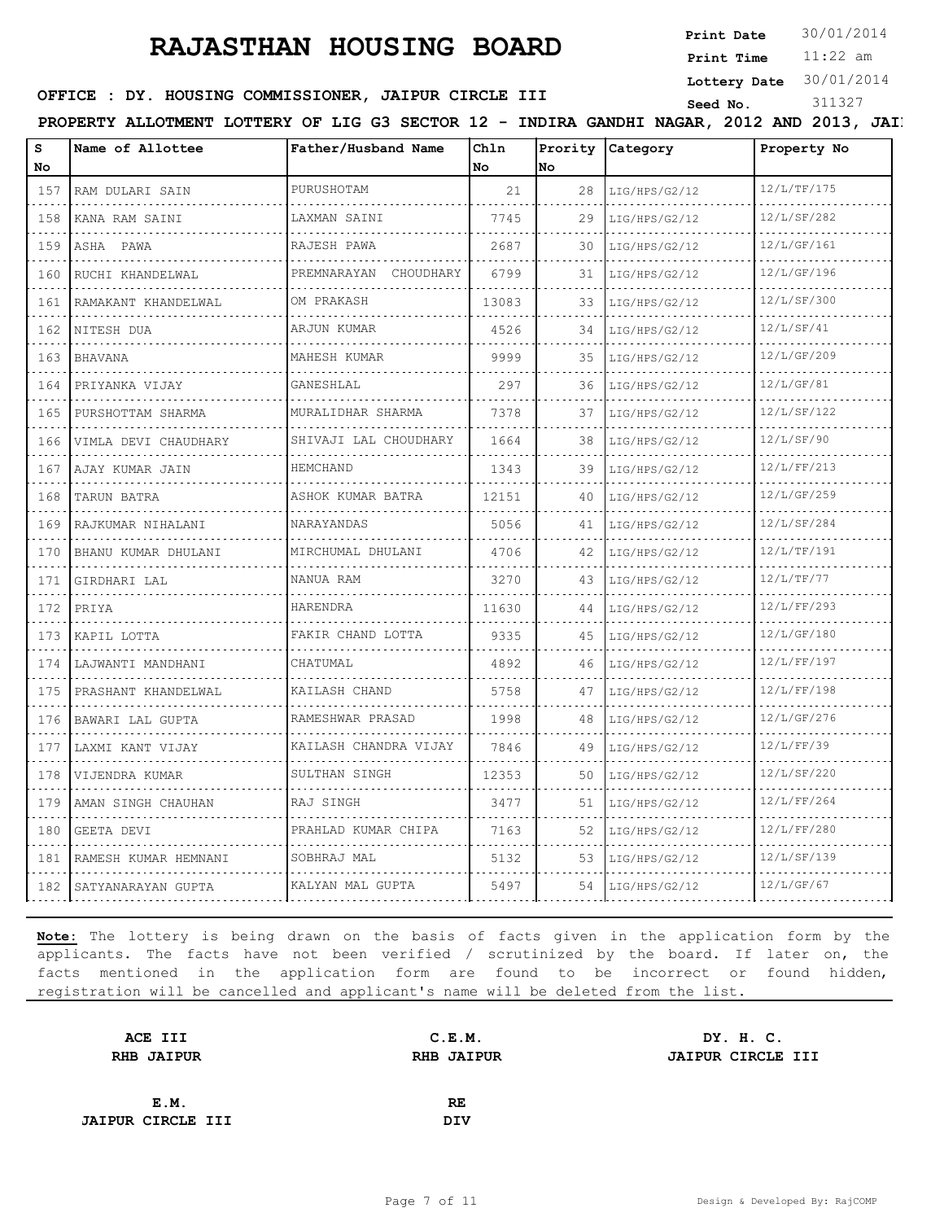**Print Date**  $30/01/2014$ 

11:22 am **Print Time Lottery Date** 30/01/2014

### **OFFICE : DY. HOUSING COMMISSIONER, JAIPUR CIRCLE III** Seed No. 311327

PROPERTY ALLOTMENT LOTTERY OF LIG G3 SECTOR 12 - INDIRA GANDHI NAGAR, 2012 AND 2013, JAIP

| s<br>No | Name of Allottee          | Father/Husband Name        | Chln<br>No. | Prority<br>lNo. | <b>Category</b> | Property No |
|---------|---------------------------|----------------------------|-------------|-----------------|-----------------|-------------|
| 157     | RAM DULARI SAIN           | PURUSHOTAM                 | 21          | 28              | LIG/HPS/G2/12   | 12/L/TF/175 |
| 158     | KANA RAM SAINI            | LAXMAN SAINI               | 7745        | 29              | LIG/HPS/G2/12   | 12/L/SF/282 |
| 159     | ASHA PAWA                 | RAJESH PAWA                | 2687        | 30              | LIG/HPS/G2/12   | 12/L/GF/161 |
| 160     | RUCHI KHANDELWAL          | PREMNARAYAN CHOUDHARY      | 6799        | 31              | LIG/HPS/G2/12   | 12/L/GF/196 |
| 161     | RAMAKANT KHANDELWAL       | OM PRAKASH                 | 13083       | 33              | LIG/HPS/G2/12   | 12/L/SF/300 |
| 162     | NITESH DUA                | ARJUN KUMAR                | 4526        | 34              | LIG/HPS/G2/12   | 12/L/SF/41  |
| 163     | <b>BHAVANA</b>            | MAHESH KUMAR               | 9999        | 35              | LIG/HPS/G2/12   | 12/L/GF/209 |
| 164     | PRIYANKA VIJAY            | GANESHLAL                  | 297         | 36              | LIG/HPS/G2/12   | 12/L/GF/81  |
| 165     | PURSHOTTAM SHARMA         | MURALIDHAR SHARMA          | 7378        | 37              | LIG/HPS/G2/12   | 12/L/SF/122 |
| 166     | .<br>VIMLA DEVI CHAUDHARY | .<br>SHIVAJI LAL CHOUDHARY | 1664        | 38              | LIG/HPS/G2/12   | 12/L/SF/90  |
| 167     | AJAY KUMAR JAIN           | HEMCHAND                   | 1343        | 39              | LIG/HPS/G2/12   | 12/L/FF/213 |
| 168     | TARUN BATRA               | ASHOK KUMAR BATRA          | 12151       | 40              | LIG/HPS/G2/12   | 12/L/GF/259 |
| 169     | RAJKUMAR NIHALANI         | NARAYANDAS                 | 5056        | 41              | LIG/HPS/G2/12   | 12/L/SF/284 |
| 170     | BHANU KUMAR DHULANI       | MIRCHUMAL DHULANI          | 4706        | 42              | LIG/HPS/G2/12   | 12/L/TF/191 |
| 171     | GIRDHARI LAL              | NANUA RAM                  | 3270        | 43              | LIG/HPS/G2/12   | 12/L/TF/77  |
| 172     | PRIYA                     | HARENDRA                   | 11630       | 44              | LIG/HPS/G2/12   | 12/L/FF/293 |
| 173     | KAPIL LOTTA               | FAKIR CHAND LOTTA          | 9335        | 45              | LIG/HPS/G2/12   | 12/L/GF/180 |
| 174     | LAJWANTI MANDHANI         | CHATUMAL                   | 4892        | 46              | LIG/HPS/G2/12   | 12/L/FF/197 |
| 175     | PRASHANT KHANDELWAL       | KAILASH CHAND              | 5758        | 47              | LIG/HPS/G2/12   | 12/L/FF/198 |
| 176     | BAWARI LAL GUPTA          | RAMESHWAR PRASAD           | 1998        | 48              | LIG/HPS/G2/12   | 12/L/GF/276 |
| 177     | LAXMI KANT VIJAY          | KAILASH CHANDRA VIJAY      | 7846        | 49              | LIG/HPS/G2/12   | 12/L/FF/39  |
| 178     | VIJENDRA KUMAR            | SULTHAN SINGH              | 12353       | 50              | LIG/HPS/G2/12   | 12/L/SF/220 |
| 179     | AMAN SINGH CHAUHAN        | RAJ SINGH                  | 3477        | 51              | LIG/HPS/G2/12   | 12/L/FF/264 |
| 180     | GEETA DEVI                | PRAHLAD KUMAR CHIPA        | 7163        | 52              | LIG/HPS/G2/12   | 12/L/FF/280 |
| 181     | RAMESH KUMAR HEMNANI      | SOBHRAJ MAL                | 5132        | 53              | LIG/HPS/G2/12   | 12/L/SF/139 |
| 182     | SATYANARAYAN GUPTA        | KALYAN MAL GUPTA           | 5497        | 54              | LIG/HPS/G2/12   | 12/L/GF/67  |

| ACE III                  | C.E.M.            | DY. H. C.                |
|--------------------------|-------------------|--------------------------|
| <b>RHB JAIPUR</b>        | <b>RHB JAIPUR</b> | <b>JAIPUR CIRCLE III</b> |
|                          |                   |                          |
| E.M.                     | RE                |                          |
| <b>JAIPUR CIRCLE III</b> | DIV               |                          |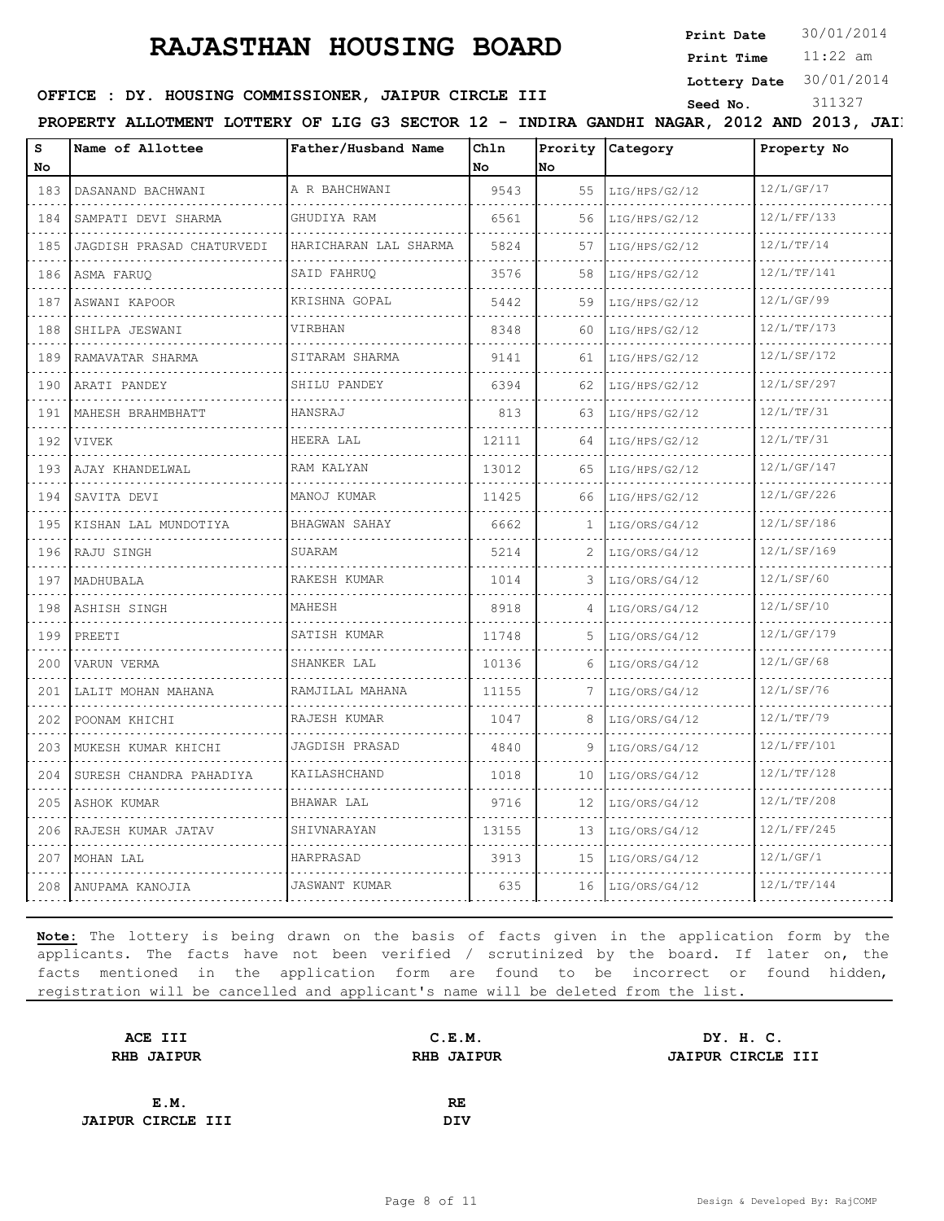**Print Date**  $30/01/2014$ 

11:22 am **Print Time Lottery Date** 30/01/2014

### **SEED OFFICE : DY. HOUSING COMMISSIONER, JAIPUR CIRCLE III** Seed No. 311327

PROPERTY ALLOTMENT LOTTERY OF LIG G3 SECTOR 12 - INDIRA GANDHI NAGAR, 2012 AND 2013, JAIP

| S                           | Name of Allottee             | Father/Husband Name   | Chln  | Prority | Category      | Property No |
|-----------------------------|------------------------------|-----------------------|-------|---------|---------------|-------------|
| No                          |                              |                       | No.   | No      |               |             |
| 183                         | DASANAND BACHWANI            | A R BAHCHWANI         | 9543  | 55      | LIG/HPS/G2/12 | 12/L/GF/17  |
| 184                         | SAMPATI DEVI SHARMA          | GHUDIYA RAM           | 6561  | 56      | LIG/HPS/G2/12 | 12/L/FF/133 |
| 185                         | JAGDISH PRASAD CHATURVEDI    | HARICHARAN LAL SHARMA | 5824  | 57      | LIG/HPS/G2/12 | 12/L/TF/14  |
| 186                         | ASMA FARUQ                   | SAID FAHRUO           | 3576  | 58      | LIG/HPS/G2/12 | 12/L/TF/141 |
| .<br>187                    | ASWANI KAPOOR                | KRISHNA GOPAL         | 5442  | 59      | LIG/HPS/G2/12 | 12/L/GF/99  |
| 188                         | SHILPA JESWANI               | VIRBHAN               | 8348  | 60      | LIG/HPS/G2/12 | 12/L/TF/173 |
| 189                         | RAMAVATAR SHARMA             | SITARAM SHARMA        | 9141  | 61      | LIG/HPS/G2/12 | 12/L/SF/172 |
| .<br>190                    | ARATI PANDEY                 | SHILU PANDEY          | 6394  | 62      | LIG/HPS/G2/12 | 12/L/SF/297 |
| 191                         | MAHESH BRAHMBHATT            | HANSRAJ               | 813   | 63      | LIG/HPS/G2/12 | 12/L/TF/31  |
| 192                         | VIVEK                        | HEERA LAL             | 12111 | 64      | LIG/HPS/G2/12 | 12/L/TF/31  |
| .<br>193                    | AJAY KHANDELWAL              | RAM KALYAN            | 13012 | 65      | LIG/HPS/G2/12 | 12/L/GF/147 |
| $\sim$ $\sim$ $\sim$<br>194 | SAVITA DEVI                  | MANOJ KUMAR           | 11425 | 66      | LIG/HPS/G2/12 | 12/L/GF/226 |
| 195                         | KISHAN LAL MUNDOTIYA         | BHAGWAN SAHAY         | 6662  | 1.      | LIG/ORS/G4/12 | 12/L/SF/186 |
| 196                         | RAJU SINGH                   | SUARAM                | 5214  | 2       | LIG/ORS/G4/12 | 12/L/SF/169 |
| 197                         | MADHUBALA                    | RAKESH KUMAR          | 1014  | 3       | LIG/ORS/G4/12 | 12/L/SF/60  |
| 198                         | ASHISH SINGH                 | MAHESH                | 8918  | 4       | LIG/ORS/G4/12 | 12/L/SF/10  |
| 199                         | PREETI                       | SATISH KUMAR          | 11748 | 5       | LIG/ORS/G4/12 | 12/L/GF/179 |
| 200                         | VARUN VERMA                  | SHANKER LAL           | 10136 | 6       | LIG/ORS/G4/12 | 12/L/GF/68  |
| 201                         | LALIT MOHAN MAHANA           | RAMJILAL MAHANA       | 11155 | 7       | LIG/ORS/G4/12 | 12/L/SF/76  |
| 202                         | POONAM KHICHI                | RAJESH KUMAR          | 1047  | 8       | LIG/ORS/G4/12 | 12/L/TF/79  |
| 203                         | MUKESH KUMAR KHICHI          | JAGDISH PRASAD        | 4840  | 9       | LIG/ORS/G4/12 | 12/L/FF/101 |
| 204                         | .<br>SURESH CHANDRA PAHADIYA | KAILASHCHAND          | 1018  | 10      | LIG/ORS/G4/12 | 12/L/TF/128 |
| $\sim$ $\sim$ $\sim$<br>205 | <b>ASHOK KUMAR</b>           | BHAWAR LAL            | 9716  | 12      | LIG/ORS/G4/12 | 12/L/TF/208 |
| 206                         | RAJESH KUMAR JATAV           | SHIVNARAYAN           | 13155 | 13      | LIG/ORS/G4/12 | 12/L/FF/245 |
| 207                         | MOHAN LAL                    | HARPRASAD             | 3913  | 15      | LIG/ORS/G4/12 | 12/L/GF/1   |
| 208                         | ANUPAMA KANOJIA              | JASWANT KUMAR         | 635   | 16      | LIG/ORS/G4/12 | 12/L/TF/144 |

| C.E.M.            | DY. H. C.         |
|-------------------|-------------------|
| <b>RHB JAIPUR</b> | JAIPUR CIRCLE III |
|                   |                   |
| RE                |                   |
| DIV               |                   |
|                   |                   |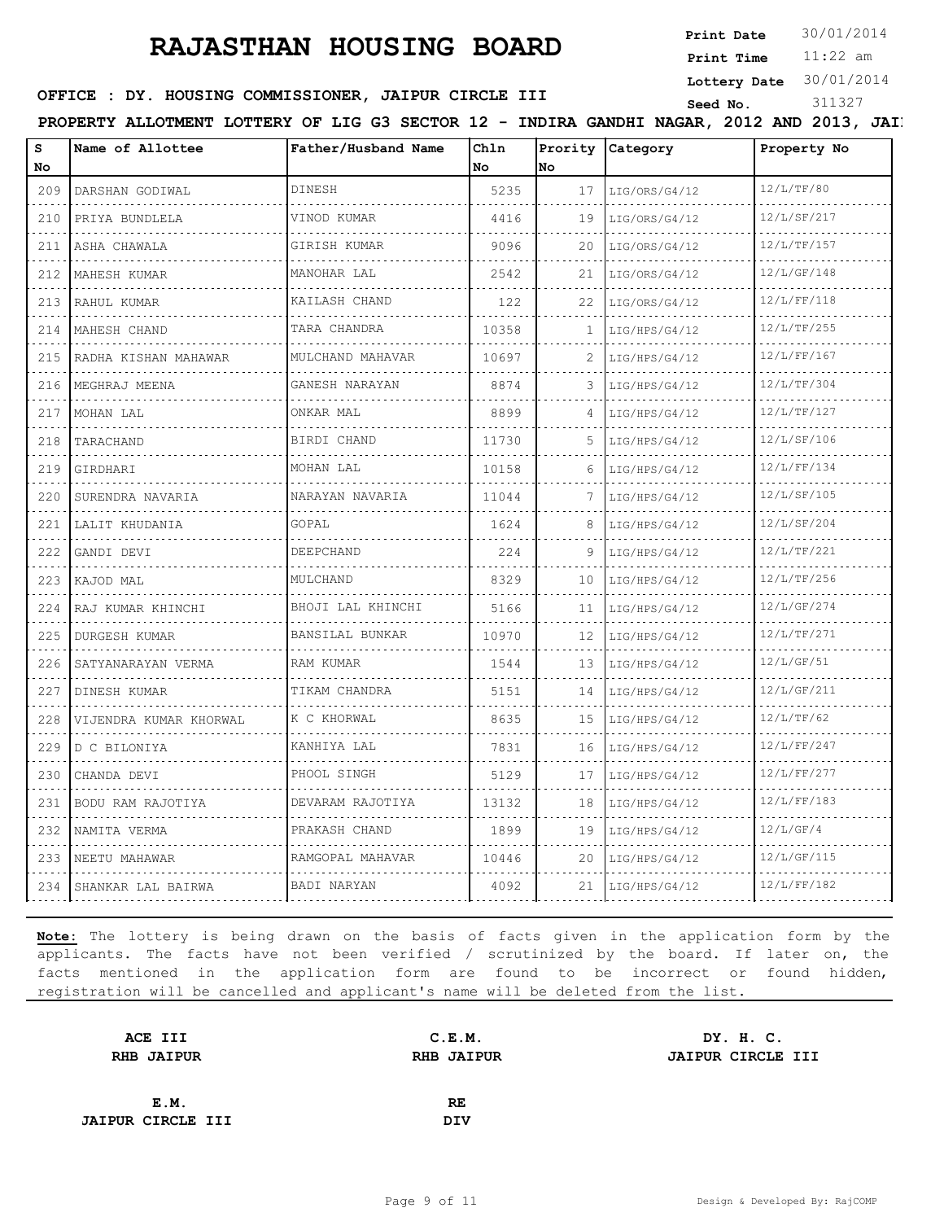**Print Date**  $30/01/2014$ 

11:22 am **Print Time**

#### **Lottery Date** 30/01/2014

#### **OFFICE : DY. HOUSING COMMISSIONER, JAIPUR CIRCLE III** Seed No. 311327

| s<br><b>No</b>                     | Name of Allottee       | Father/Husband Name   | Ch1n<br>No. | No | Prority Category   | Property No      |
|------------------------------------|------------------------|-----------------------|-------------|----|--------------------|------------------|
| 209                                | DARSHAN GODIWAL        | DINESH                | 5235        | 17 | LIG/ORS/G4/12      | 12/L/TF/80       |
| 210                                | PRIYA BUNDLELA         | VINOD KUMAR           | 4416        | 19 | LIG/ORS/G4/12      | 12/L/SF/217      |
| 211                                | ASHA CHAWALA<br>.      | GIRISH KUMAR          | 9096        | 20 | LIG/ORS/G4/12      | 12/L/TF/157      |
| 212                                | MAHESH KUMAR           | MANOHAR LAL<br>.      | 2542        | 21 | LIG/ORS/G4/12      | 12/L/GF/148      |
| $   -$<br>213                      | RAHUL KUMAR<br>.       | KAILASH CHAND         | 122         | 22 | LIG/ORS/G4/12      | 12/L/FF/118      |
| 214                                | MAHESH CHAND           | TARA CHANDRA          | 10358       | 1  | LIG/HPS/G4/12      | 12/L/TF/255      |
| 215                                | RADHA KISHAN MAHAWAR   | MULCHAND MAHAVAR<br>. | 10697       |    | LIG/HPS/G4/12      | 12/L/FF/167      |
| 216                                | MEGHRAJ MEENA          | GANESH NARAYAN        | 8874        | 3  | LIG/HPS/G4/12      | 12/L/TF/304      |
| 217                                | MOHAN LAL<br>.         | ONKAR MAL<br>.        | 8899        | 4  | LIG/HPS/G4/12      | 12/L/TF/127      |
| 218                                | TARACHAND              | BIRDI CHAND           | 11730       | 5  | LIG/HPS/G4/12      | 12/L/SF/106      |
| 219                                | GIRDHARI               | MOHAN LAL             | 10158       | 6  | LIG/HPS/G4/12      | 12/L/FF/134      |
| 220                                | SURENDRA NAVARIA       | NARAYAN NAVARIA       | 11044       |    | LIG/HPS/G4/12      | 12/L/SF/105      |
| 221                                | LALIT KHUDANIA         | GOPAL                 | 1624        | 8  | LIG/HPS/G4/12      | 12/L/SF/204      |
| 222                                | GANDI DEVI             | DEEPCHAND             | 224         | 9  | LIG/HPS/G4/12      | .<br>12/L/TF/221 |
| 223                                | KAJOD MAL              | MULCHAND              | 8329        | 10 | LIG/HPS/G4/12      | 12/L/TF/256      |
| 224                                | RAJ KUMAR KHINCHI      | BHOJI LAL KHINCHI     | 5166        | 11 | LIG/HPS/G4/12      | 12/L/GF/274      |
| 225                                | DURGESH KUMAR          | BANSILAL BUNKAR       | 10970       | 12 | LIG/HPS/G4/12      | 12/L/TF/271      |
| $\sim$ $\sim$ $\sim$ $\sim$<br>226 | SATYANARAYAN VERMA     | RAM KUMAR             | 1544        | 13 | LIG/HPS/G4/12      | 12/L/GF/51       |
| 227                                | DINESH KUMAR           | TIKAM CHANDRA<br>.    | 5151        | 14 | LIG/HPS/G4/12      | 12/L/GF/211      |
| 228                                | VIJENDRA KUMAR KHORWAL | K C KHORWAL           | 8635        | 15 | LIG/HPS/G4/12      | 12/L/TF/62       |
| 229                                | D C BILONIYA           | KANHIYA LAL           | 7831        | 16 | LIG/HPS/G4/12      | 12/L/FF/247      |
| 230                                | CHANDA DEVI            | PHOOL SINGH<br>.      | 5129        | 17 | LIG/HPS/G4/12      | 12/L/FF/277      |
| 231                                | BODU RAM RAJOTIYA      | DEVARAM RAJOTIYA      | 13132       | 18 | LIG/HPS/G4/12      | 12/L/FF/183      |
| 232                                | NAMITA VERMA           | .<br>PRAKASH CHAND    | 1899        | 19 | LIG/HPS/G4/12      | 12/L/GF/4        |
| 233                                | NEETU MAHAWAR          | RAMGOPAL MAHAVAR      | 10446       | 20 | LIG/HPS/G4/12      | 12/L/GF/115      |
|                                    | 234 SHANKAR LAL BAIRWA | BADI NARYAN           | 4092        |    | $21$ LIG/HPS/G4/12 | 12/L/FF/182      |
|                                    |                        |                       |             |    |                    |                  |

| C.E.M.            | DY. H. C.         |
|-------------------|-------------------|
| <b>RHB JAIPUR</b> | JAIPUR CIRCLE III |
|                   |                   |
| RE                |                   |
| DIV               |                   |
|                   |                   |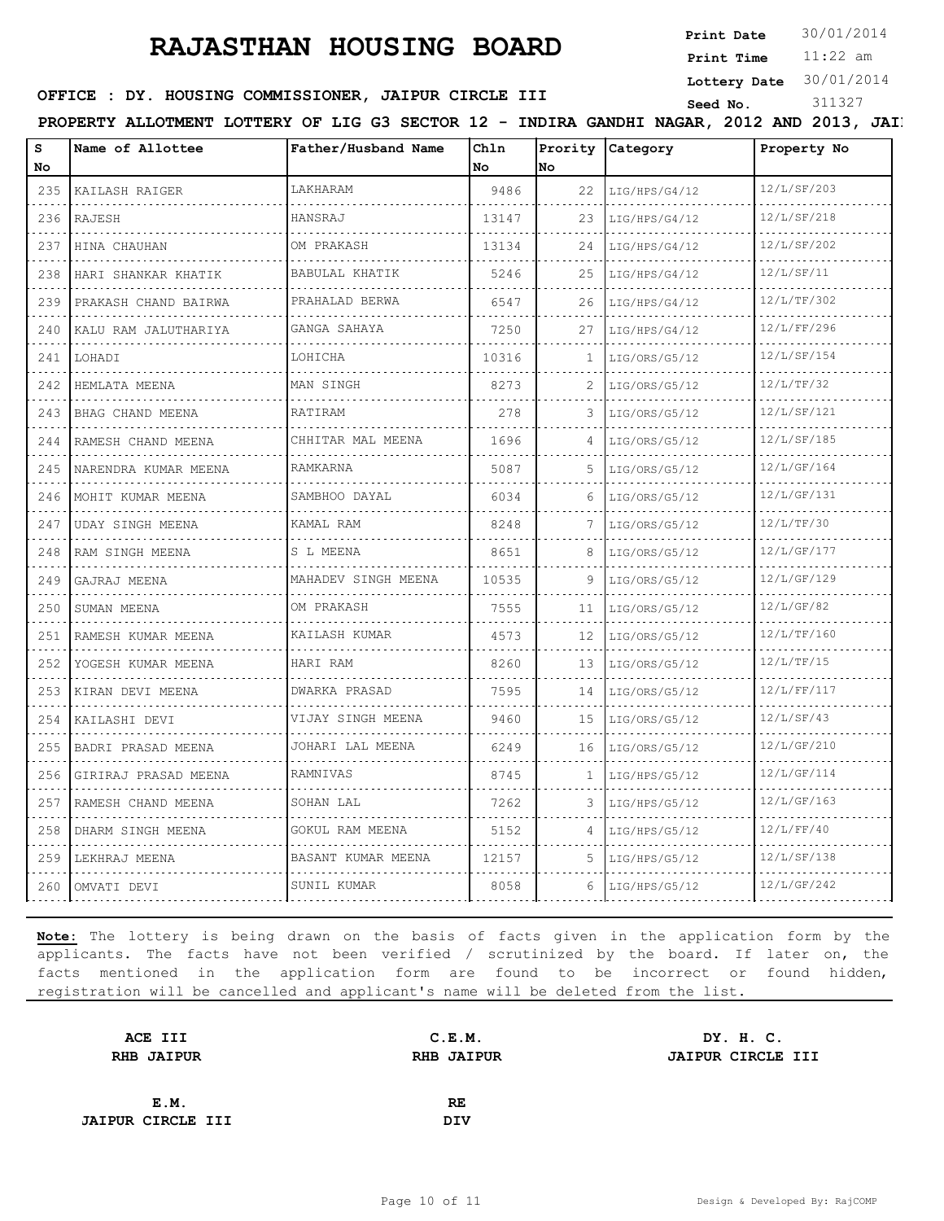**Print Date**  $30/01/2014$ 

11:22 am **Print Time Lottery Date** 30/01/2014

### **OFFICE : DY. HOUSING COMMISSIONER, JAIPUR CIRCLE III** Seed No. 311327

PROPERTY ALLOTMENT LOTTERY OF LIG G3 SECTOR 12 - INDIRA GANDHI NAGAR, 2012 AND 2013, JAIP

| S                                  | Name of Allottee             | Father/Husband Name | Chln  |    | Prority Category | Property No |
|------------------------------------|------------------------------|---------------------|-------|----|------------------|-------------|
| No                                 |                              |                     | No    | No |                  |             |
| 235                                | KAILASH RAIGER               | LAKHARAM            | 9486  | 22 | LIG/HPS/G4/12    | 12/L/SF/203 |
| 236                                | RAJESH                       | HANSRAJ             | 13147 | 23 | LIG/HPS/G4/12    | 12/L/SF/218 |
| 237                                | HINA CHAUHAN<br>.            | OM PRAKASH          | 13134 | 24 | LIG/HPS/G4/12    | 12/L/SF/202 |
| 238                                | HARI SHANKAR KHATIK          | BABULAL KHATIK      | 5246  | 25 | LIG/HPS/G4/12    | 12/L/SF/11  |
| 239                                | PRAKASH CHAND BAIRWA<br>.    | PRAHALAD BERWA      | 6547  | 26 | LIG/HPS/G4/12    | 12/L/TF/302 |
| 240                                | KALU RAM JALUTHARIYA         | GANGA SAHAYA        | 7250  | 27 | LIG/HPS/G4/12    | 12/L/FF/296 |
| 241                                | LOHADI<br>.                  | LOHICHA             | 10316 | 1  | LIG/ORS/G5/12    | 12/L/SF/154 |
| 242                                | HEMLATA MEENA                | MAN SINGH           | 8273  |    | LIG/ORS/G5/12    | 12/L/TF/32  |
| 243<br>$\sim$ $\sim$ $\sim$ $\sim$ | BHAG CHAND MEENA             | <b>RATIRAM</b>      | 278   | 3  | LIG/ORS/G5/12    | 12/L/SF/121 |
| 244                                | RAMESH CHAND MEENA           | CHHITAR MAL MEENA   | 1696  | 4  | LIG/ORS/G5/12    | 12/L/SF/185 |
| 245                                | NARENDRA KUMAR MEENA<br>.    | RAMKARNA            | 5087  | 5  | LIG/ORS/G5/12    | 12/L/GF/164 |
| 246<br>and the con-                | MOHIT KUMAR MEENA            | SAMBHOO DAYAL       | 6034  | ีค | LIG/ORS/G5/12    | 12/L/GF/131 |
| 247                                | <b>UDAY SINGH MEENA</b><br>. | KAMAL RAM           | 8248  |    | LIG/ORS/G5/12    | 12/L/TF/30  |
| 248                                | RAM SINGH MEENA              | S L MEENA           | 8651  | 8  | LIG/ORS/G5/12    | 12/L/GF/177 |
| 249<br>$\sim$ $\sim$ $\sim$ $\sim$ | GAJRAJ MEENA                 | MAHADEV SINGH MEENA | 10535 | 9  | LIG/ORS/G5/12    | 12/L/GF/129 |
| 250                                | SUMAN MEENA<br>.             | OM PRAKASH          | 7555  | 11 | LIG/ORS/G5/12    | 12/L/GF/82  |
| 251                                | RAMESH KUMAR MEENA           | KAILASH KUMAR       | 4573  | 12 | LIG/ORS/G5/12    | 12/L/TF/160 |
| 252                                | YOGESH KUMAR MEENA           | HARI RAM            | 8260  | 13 | LIG/ORS/G5/12    | 12/L/TF/15  |
| 253                                | KIRAN DEVI MEENA<br>.        | DWARKA PRASAD       | 7595  | 14 | LIG/ORS/G5/12    | 12/L/FF/117 |
| 254                                | KAILASHI DEVI                | VIJAY SINGH MEENA   | 9460  | 15 | LIG/ORS/G5/12    | 12/L/SF/43  |
| 255                                | BADRI PRASAD MEENA           | JOHARI LAL MEENA    | 6249  | 16 | LIG/ORS/G5/12    | 12/L/GF/210 |
| 256                                | GIRIRAJ PRASAD MEENA         | RAMNIVAS            | 8745  | 1  | LIG/HPS/G5/12    | 12/L/GF/114 |
| 257                                | RAMESH CHAND MEENA           | SOHAN LAL           | 7262  | 3  | LIG/HPS/G5/12    | 12/L/GF/163 |
| 258                                | DHARM SINGH MEENA            | GOKUL RAM MEENA     | 5152  | 4  | LIG/HPS/G5/12    | 12/L/FF/40  |
| 259                                | LEKHRAJ MEENA                | BASANT KUMAR MEENA  | 12157 | 5. | LIG/HPS/G5/12    | 12/L/SF/138 |
| 260                                | OMVATI DEVI                  | SUNIL KUMAR         | 8058  | 6  | LIG/HPS/G5/12    | 12/L/GF/242 |

| ACE III                  | C.E.M.            | DY. H. C.                |
|--------------------------|-------------------|--------------------------|
| <b>RHB JAIPUR</b>        | <b>RHB JAIPUR</b> | <b>JAIPUR CIRCLE III</b> |
|                          |                   |                          |
| E.M.                     | RE                |                          |
| <b>JAIPUR CIRCLE III</b> | DIV               |                          |